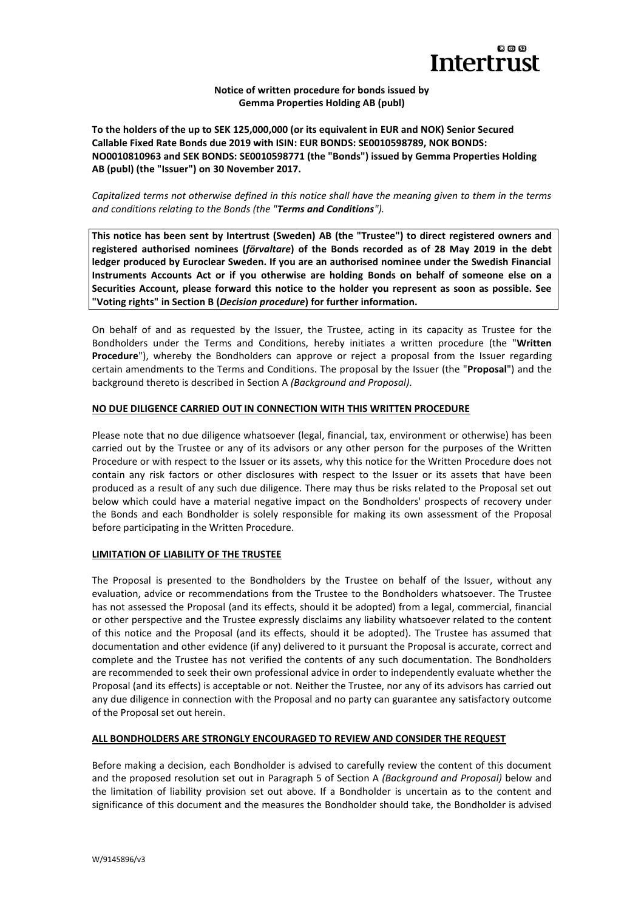

## **Notice of written procedure for bonds issued by Gemma Properties Holding AB (publ)**

**To the holders of the up to SEK 125,000,000 (or its equivalent in EUR and NOK) Senior Secured Callable Fixed Rate Bonds due 2019 with ISIN: EUR BONDS: SE0010598789, NOK BONDS: NO0010810963 and SEK BONDS: SE0010598771 (the "Bonds") issued by Gemma Properties Holding AB (publ) (the "Issuer") on 30 November 2017.**

*Capitalized terms not otherwise defined in this notice shall have the meaning given to them in the terms and conditions relating to the Bonds (the "Terms and Conditions").*

**This notice has been sent by Intertrust (Sweden) AB (the "Trustee") to direct registered owners and registered authorised nominees (***förvaltare***) of the Bonds recorded as of 28 May 2019 in the debt ledger produced by Euroclear Sweden. If you are an authorised nominee under the Swedish Financial Instruments Accounts Act or if you otherwise are holding Bonds on behalf of someone else on a Securities Account, please forward this notice to the holder you represent as soon as possible. See "Voting rights" in Section B (***Decision procedure***) for further information.**

On behalf of and as requested by the Issuer, the Trustee, acting in its capacity as Trustee for the Bondholders under the Terms and Conditions, hereby initiates a written procedure (the "**Written Procedure**"), whereby the Bondholders can approve or reject a proposal from the Issuer regarding certain amendments to the Terms and Conditions. The proposal by the Issuer (the "**Proposal**") and the background thereto is described in Section A *(Background and Proposal)*.

### **NO DUE DILIGENCE CARRIED OUT IN CONNECTION WITH THIS WRITTEN PROCEDURE**

Please note that no due diligence whatsoever (legal, financial, tax, environment or otherwise) has been carried out by the Trustee or any of its advisors or any other person for the purposes of the Written Procedure or with respect to the Issuer or its assets, why this notice for the Written Procedure does not contain any risk factors or other disclosures with respect to the Issuer or its assets that have been produced as a result of any such due diligence. There may thus be risks related to the Proposal set out below which could have a material negative impact on the Bondholders' prospects of recovery under the Bonds and each Bondholder is solely responsible for making its own assessment of the Proposal before participating in the Written Procedure.

#### **LIMITATION OF LIABILITY OF THE TRUSTEE**

The Proposal is presented to the Bondholders by the Trustee on behalf of the Issuer, without any evaluation, advice or recommendations from the Trustee to the Bondholders whatsoever. The Trustee has not assessed the Proposal (and its effects, should it be adopted) from a legal, commercial, financial or other perspective and the Trustee expressly disclaims any liability whatsoever related to the content of this notice and the Proposal (and its effects, should it be adopted). The Trustee has assumed that documentation and other evidence (if any) delivered to it pursuant the Proposal is accurate, correct and complete and the Trustee has not verified the contents of any such documentation. The Bondholders are recommended to seek their own professional advice in order to independently evaluate whether the Proposal (and its effects) is acceptable or not. Neither the Trustee, nor any of its advisors has carried out any due diligence in connection with the Proposal and no party can guarantee any satisfactory outcome of the Proposal set out herein.

## **ALL BONDHOLDERS ARE STRONGLY ENCOURAGED TO REVIEW AND CONSIDER THE REQUEST**

Before making a decision, each Bondholder is advised to carefully review the content of this document and the proposed resolution set out in Paragraph 5 of Section A *(Background and Proposal)* below and the limitation of liability provision set out above. If a Bondholder is uncertain as to the content and significance of this document and the measures the Bondholder should take, the Bondholder is advised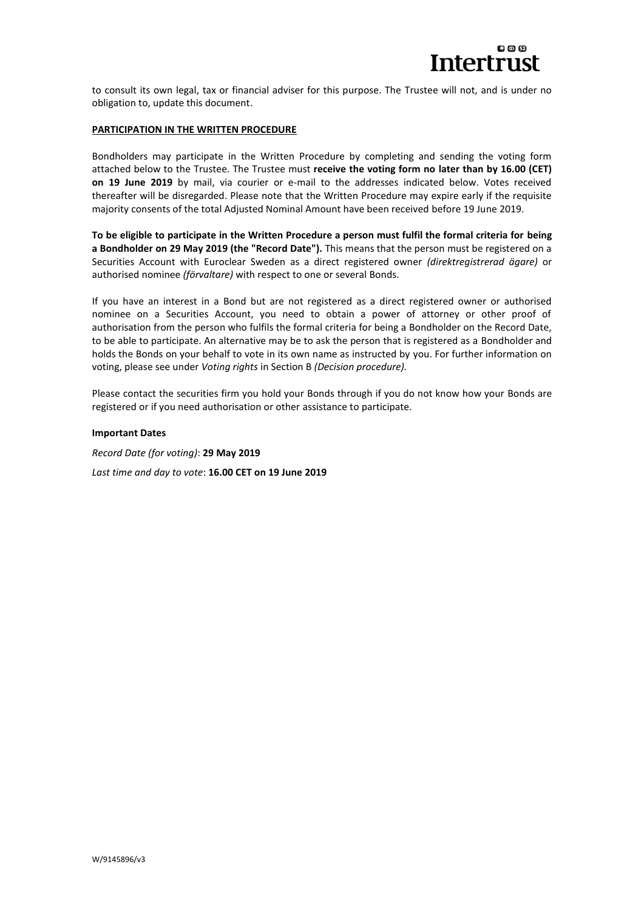

to consult its own legal, tax or financial adviser for this purpose. The Trustee will not, and is under no obligation to, update this document.

#### **PARTICIPATION IN THE WRITTEN PROCEDURE**

Bondholders may participate in the Written Procedure by completing and sending the voting form attached below to the Trustee. The Trustee must **receive the voting form no later than by 16.00 (CET) on 19 June 2019** by mail, via courier or e-mail to the addresses indicated below. Votes received thereafter will be disregarded. Please note that the Written Procedure may expire early if the requisite majority consents of the total Adjusted Nominal Amount have been received before 19 June 2019.

**To be eligible to participate in the Written Procedure a person must fulfil the formal criteria for being a Bondholder on 29 May 2019 (the "Record Date").** This means that the person must be registered on a Securities Account with Euroclear Sweden as a direct registered owner *(direktregistrerad ägare)* or authorised nominee *(förvaltare)* with respect to one or several Bonds.

If you have an interest in a Bond but are not registered as a direct registered owner or authorised nominee on a Securities Account, you need to obtain a power of attorney or other proof of authorisation from the person who fulfils the formal criteria for being a Bondholder on the Record Date, to be able to participate. An alternative may be to ask the person that is registered as a Bondholder and holds the Bonds on your behalf to vote in its own name as instructed by you. For further information on voting, please see under *Voting rights* in Section B *(Decision procedure).*

Please contact the securities firm you hold your Bonds through if you do not know how your Bonds are registered or if you need authorisation or other assistance to participate.

#### **Important Dates**

*Record Date (for voting)*: **29 May 2019** *Last time and day to vote*: **16.00 CET on 19 June 2019**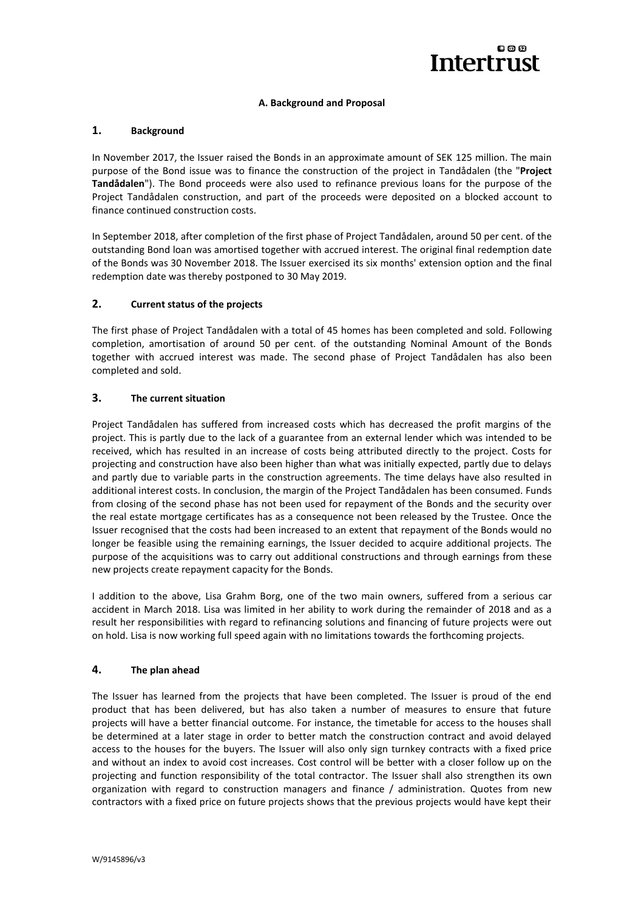

## **A. Background and Proposal**

## **1. Background**

In November 2017, the Issuer raised the Bonds in an approximate amount of SEK 125 million. The main purpose of the Bond issue was to finance the construction of the project in Tandådalen (the "**Project Tandådalen**"). The Bond proceeds were also used to refinance previous loans for the purpose of the Project Tandådalen construction, and part of the proceeds were deposited on a blocked account to finance continued construction costs.

In September 2018, after completion of the first phase of Project Tandådalen, around 50 per cent. of the outstanding Bond loan was amortised together with accrued interest. The original final redemption date of the Bonds was 30 November 2018. The Issuer exercised its six months' extension option and the final redemption date was thereby postponed to 30 May 2019.

## **2. Current status of the projects**

The first phase of Project Tandådalen with a total of 45 homes has been completed and sold. Following completion, amortisation of around 50 per cent. of the outstanding Nominal Amount of the Bonds together with accrued interest was made. The second phase of Project Tandådalen has also been completed and sold.

### **3. The current situation**

Project Tandådalen has suffered from increased costs which has decreased the profit margins of the project. This is partly due to the lack of a guarantee from an external lender which was intended to be received, which has resulted in an increase of costs being attributed directly to the project. Costs for projecting and construction have also been higher than what was initially expected, partly due to delays and partly due to variable parts in the construction agreements. The time delays have also resulted in additional interest costs. In conclusion, the margin of the Project Tandådalen has been consumed. Funds from closing of the second phase has not been used for repayment of the Bonds and the security over the real estate mortgage certificates has as a consequence not been released by the Trustee. Once the Issuer recognised that the costs had been increased to an extent that repayment of the Bonds would no longer be feasible using the remaining earnings, the Issuer decided to acquire additional projects. The purpose of the acquisitions was to carry out additional constructions and through earnings from these new projects create repayment capacity for the Bonds.

I addition to the above, Lisa Grahm Borg, one of the two main owners, suffered from a serious car accident in March 2018. Lisa was limited in her ability to work during the remainder of 2018 and as a result her responsibilities with regard to refinancing solutions and financing of future projects were out on hold. Lisa is now working full speed again with no limitations towards the forthcoming projects.

## **4. The plan ahead**

The Issuer has learned from the projects that have been completed. The Issuer is proud of the end product that has been delivered, but has also taken a number of measures to ensure that future projects will have a better financial outcome. For instance, the timetable for access to the houses shall be determined at a later stage in order to better match the construction contract and avoid delayed access to the houses for the buyers. The Issuer will also only sign turnkey contracts with a fixed price and without an index to avoid cost increases. Cost control will be better with a closer follow up on the projecting and function responsibility of the total contractor. The Issuer shall also strengthen its own organization with regard to construction managers and finance / administration. Quotes from new contractors with a fixed price on future projects shows that the previous projects would have kept their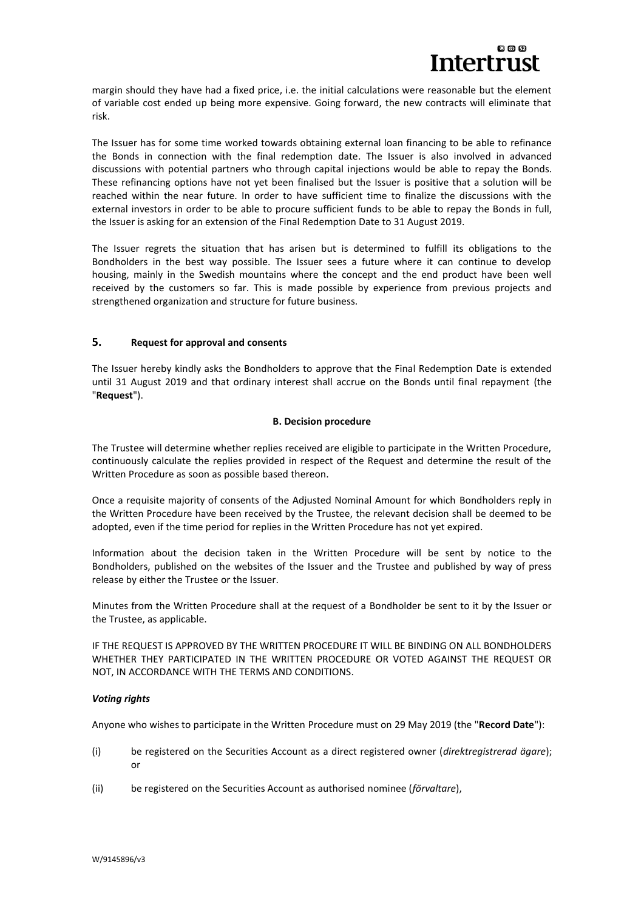

margin should they have had a fixed price, i.e. the initial calculations were reasonable but the element of variable cost ended up being more expensive. Going forward, the new contracts will eliminate that risk.

The Issuer has for some time worked towards obtaining external loan financing to be able to refinance the Bonds in connection with the final redemption date. The Issuer is also involved in advanced discussions with potential partners who through capital injections would be able to repay the Bonds. These refinancing options have not yet been finalised but the Issuer is positive that a solution will be reached within the near future. In order to have sufficient time to finalize the discussions with the external investors in order to be able to procure sufficient funds to be able to repay the Bonds in full, the Issuer is asking for an extension of the Final Redemption Date to 31 August 2019.

The Issuer regrets the situation that has arisen but is determined to fulfill its obligations to the Bondholders in the best way possible. The Issuer sees a future where it can continue to develop housing, mainly in the Swedish mountains where the concept and the end product have been well received by the customers so far. This is made possible by experience from previous projects and strengthened organization and structure for future business.

## **5. Request for approval and consents**

The Issuer hereby kindly asks the Bondholders to approve that the Final Redemption Date is extended until 31 August 2019 and that ordinary interest shall accrue on the Bonds until final repayment (the "**Request**").

#### **B. Decision procedure**

The Trustee will determine whether replies received are eligible to participate in the Written Procedure, continuously calculate the replies provided in respect of the Request and determine the result of the Written Procedure as soon as possible based thereon.

Once a requisite majority of consents of the Adjusted Nominal Amount for which Bondholders reply in the Written Procedure have been received by the Trustee, the relevant decision shall be deemed to be adopted, even if the time period for replies in the Written Procedure has not yet expired.

Information about the decision taken in the Written Procedure will be sent by notice to the Bondholders, published on the websites of the Issuer and the Trustee and published by way of press release by either the Trustee or the Issuer.

Minutes from the Written Procedure shall at the request of a Bondholder be sent to it by the Issuer or the Trustee, as applicable.

IF THE REQUEST IS APPROVED BY THE WRITTEN PROCEDURE IT WILL BE BINDING ON ALL BONDHOLDERS WHETHER THEY PARTICIPATED IN THE WRITTEN PROCEDURE OR VOTED AGAINST THE REQUEST OR NOT, IN ACCORDANCE WITH THE TERMS AND CONDITIONS.

## *Voting rights*

Anyone who wishes to participate in the Written Procedure must on 29 May 2019 (the "**Record Date**"):

- (i) be registered on the Securities Account as a direct registered owner (*direktregistrerad ägare*); or
- (ii) be registered on the Securities Account as authorised nominee (*förvaltare*),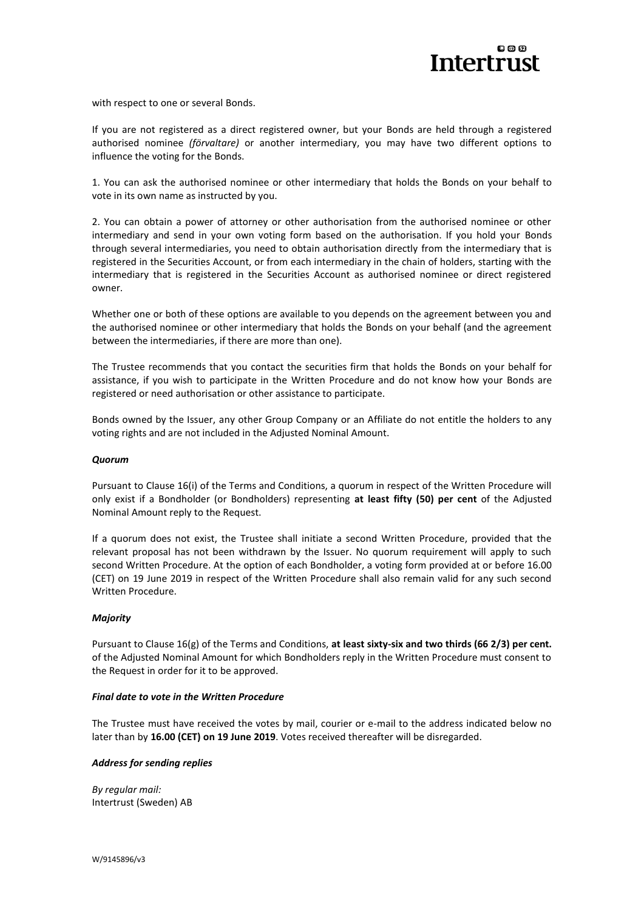

with respect to one or several Bonds.

If you are not registered as a direct registered owner, but your Bonds are held through a registered authorised nominee *(förvaltare)* or another intermediary, you may have two different options to influence the voting for the Bonds.

1. You can ask the authorised nominee or other intermediary that holds the Bonds on your behalf to vote in its own name as instructed by you.

2. You can obtain a power of attorney or other authorisation from the authorised nominee or other intermediary and send in your own voting form based on the authorisation. If you hold your Bonds through several intermediaries, you need to obtain authorisation directly from the intermediary that is registered in the Securities Account, or from each intermediary in the chain of holders, starting with the intermediary that is registered in the Securities Account as authorised nominee or direct registered owner.

Whether one or both of these options are available to you depends on the agreement between you and the authorised nominee or other intermediary that holds the Bonds on your behalf (and the agreement between the intermediaries, if there are more than one).

The Trustee recommends that you contact the securities firm that holds the Bonds on your behalf for assistance, if you wish to participate in the Written Procedure and do not know how your Bonds are registered or need authorisation or other assistance to participate.

Bonds owned by the Issuer, any other Group Company or an Affiliate do not entitle the holders to any voting rights and are not included in the Adjusted Nominal Amount.

#### *Quorum*

Pursuant to Clause 16(i) of the Terms and Conditions, a quorum in respect of the Written Procedure will only exist if a Bondholder (or Bondholders) representing **at least fifty (50) per cent** of the Adjusted Nominal Amount reply to the Request.

If a quorum does not exist, the Trustee shall initiate a second Written Procedure, provided that the relevant proposal has not been withdrawn by the Issuer. No quorum requirement will apply to such second Written Procedure. At the option of each Bondholder, a voting form provided at or before 16.00 (CET) on 19 June 2019 in respect of the Written Procedure shall also remain valid for any such second Written Procedure.

#### *Majority*

Pursuant to Clause 16(g) of the Terms and Conditions, **at least sixty-six and two thirds (66 2/3) per cent.** of the Adjusted Nominal Amount for which Bondholders reply in the Written Procedure must consent to the Request in order for it to be approved.

#### *Final date to vote in the Written Procedure*

The Trustee must have received the votes by mail, courier or e-mail to the address indicated below no later than by **16.00 (CET) on 19 June 2019**. Votes received thereafter will be disregarded.

#### *Address for sending replies*

*By regular mail:* Intertrust (Sweden) AB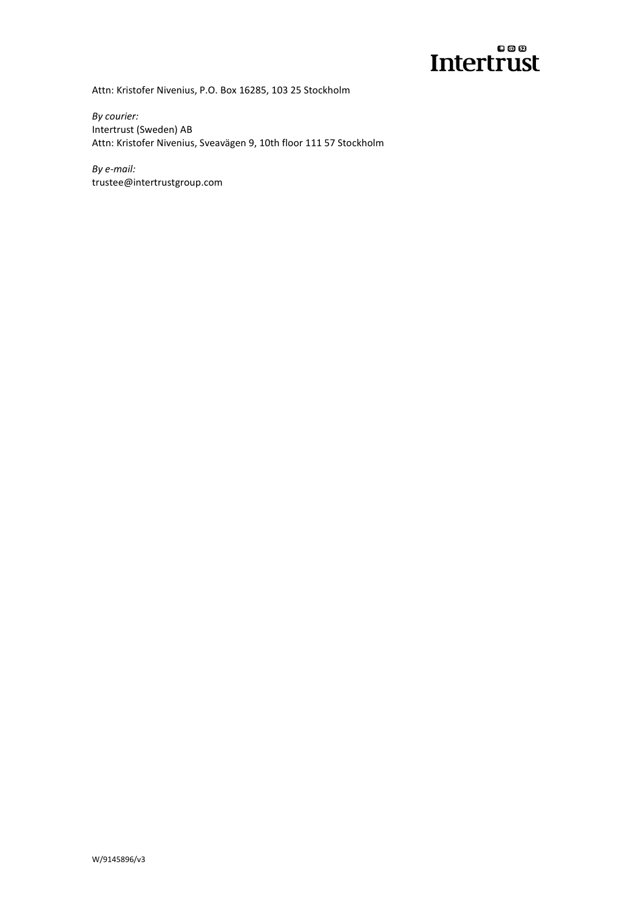

Attn: Kristofer Nivenius, P.O. Box 16285, 103 25 Stockholm

*By courier:* Intertrust (Sweden) AB Attn: Kristofer Nivenius, Sveavägen 9, 10th floor 111 57 Stockholm

*By e-mail:* trustee@intertrustgroup.com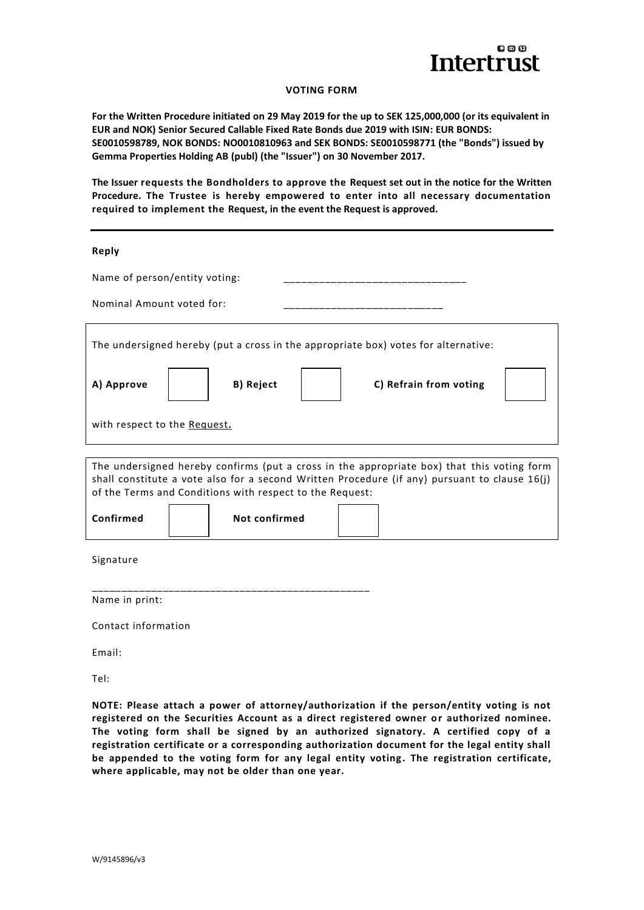

## **VOTING FORM**

**For the Written Procedure initiated on 29 May 2019 for the up to SEK 125,000,000 (or its equivalent in EUR and NOK) Senior Secured Callable Fixed Rate Bonds due 2019 with ISIN: EUR BONDS: SE0010598789, NOK BONDS: NO0010810963 and SEK BONDS: SE0010598771 (the "Bonds") issued by Gemma Properties Holding AB (publ) (the "Issuer") on 30 November 2017.**

**The Issuer requests the Bondholders to approve the Request set out in the notice for the Written Procedure. The Trustee is hereby empowered to enter into all necessary documentation required to implement the Request, in the event the Request is approved.**

#### **Reply**

| Name of person/entity voting:                                                                                                                                                                                                                             |                                     |  |  |  |
|-----------------------------------------------------------------------------------------------------------------------------------------------------------------------------------------------------------------------------------------------------------|-------------------------------------|--|--|--|
| Nominal Amount voted for:                                                                                                                                                                                                                                 |                                     |  |  |  |
| The undersigned hereby (put a cross in the appropriate box) votes for alternative:                                                                                                                                                                        |                                     |  |  |  |
| A) Approve                                                                                                                                                                                                                                                | B) Reject<br>C) Refrain from voting |  |  |  |
| with respect to the Request.                                                                                                                                                                                                                              |                                     |  |  |  |
|                                                                                                                                                                                                                                                           |                                     |  |  |  |
| The undersigned hereby confirms (put a cross in the appropriate box) that this voting form<br>shall constitute a vote also for a second Written Procedure (if any) pursuant to clause $16(j)$<br>of the Terms and Conditions with respect to the Request: |                                     |  |  |  |
| Confirmed                                                                                                                                                                                                                                                 | Not confirmed                       |  |  |  |
|                                                                                                                                                                                                                                                           |                                     |  |  |  |

Signature

\_\_\_\_\_\_\_\_\_\_\_\_\_\_\_\_\_\_\_\_\_\_\_\_\_\_\_\_\_\_\_\_\_\_\_\_\_\_\_\_\_\_\_\_\_\_\_ Name in print:

Contact information

Email:

Tel:

**NOTE: Please attach a power of attorney/authorization if the person/entity voting is not registered on the Securities Account as a direct registered owner or authorized nominee. The voting form shall be signed by an authorized signatory. A certified copy of a registration certificate or a corresponding authorization document for the legal entity shall be appended to the voting form for any legal entity voting . The registration certificate, where applicable, may not be older than one year.**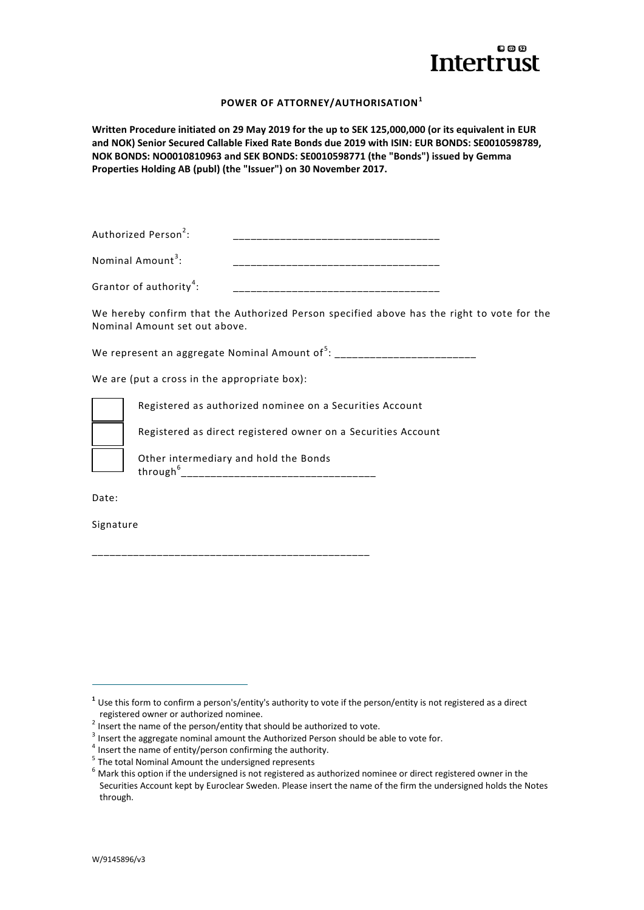

# **POWER OF ATTORNEY/AUTHORISATION<sup>1</sup>**

**Written Procedure initiated on 29 May 2019 for the up to SEK 125,000,000 (or its equivalent in EUR and NOK) Senior Secured Callable Fixed Rate Bonds due 2019 with ISIN: EUR BONDS: SE0010598789, NOK BONDS: NO0010810963 and SEK BONDS: SE0010598771 (the "Bonds") issued by Gemma Properties Holding AB (publ) (the "Issuer") on 30 November 2017.**

| Authorized Person <sup>2</sup> : |                |
|----------------------------------|----------------|
|                                  | _____<br>_____ |

| Nominal Amount | _____<br>_____<br>_<br>_____<br>_________________ |
|----------------|---------------------------------------------------|
|----------------|---------------------------------------------------|

| Grantor of authority <sup>-</sup> |  |
|-----------------------------------|--|
|                                   |  |

We hereby confirm that the Authorized Person specified above has the right to vote for the Nominal Amount set out above.

We represent an aggregate Nominal Amount of  $5:$  \_\_\_\_\_\_\_\_\_\_\_\_\_\_\_\_\_\_\_\_\_\_\_\_\_\_\_\_\_\_\_

We are (put a cross in the appropriate box):



Registered as authorized nominee on a Securities Account

Registered as direct registered owner on a Securities Account

Other intermediary and hold the Bonds through<sup>6</sup> \_\_\_\_\_\_\_\_\_\_\_\_\_\_\_\_\_\_\_\_\_\_\_\_\_\_\_\_\_\_\_\_\_

Date:

 $\overline{a}$ 

Signature

\_\_\_\_\_\_\_\_\_\_\_\_\_\_\_\_\_\_\_\_\_\_\_\_\_\_\_\_\_\_\_\_\_\_\_\_\_\_\_\_\_\_\_\_\_\_\_

**<sup>1</sup>** Use this form to confirm a person's/entity's authority to vote if the person/entity is not registered as a direct registered owner or authorized nominee.

 $2$  Insert the name of the person/entity that should be authorized to vote.

 $3$  Insert the aggregate nominal amount the Authorized Person should be able to vote for.

<sup>&</sup>lt;sup>4</sup> Insert the name of entity/person confirming the authority.

<sup>&</sup>lt;sup>5</sup> The total Nominal Amount the undersigned represents

 $6$  Mark this option if the undersigned is not registered as authorized nominee or direct registered owner in the Securities Account kept by Euroclear Sweden. Please insert the name of the firm the undersigned holds the Notes through.